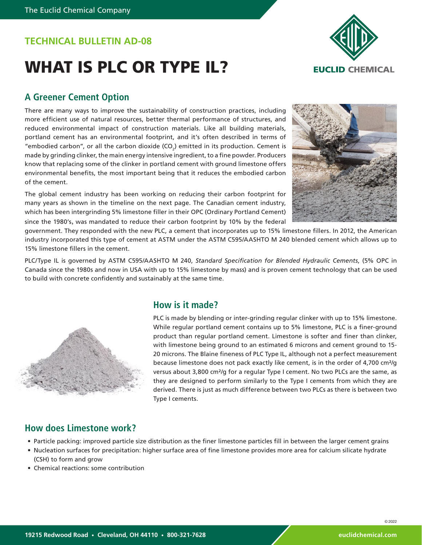## **TECHNICAL BULLETIN AD-08**

# WHAT IS PLC OR TYPE IL?



### **A Greener Cement Option**

There are many ways to improve the sustainability of construction practices, including more efficient use of natural resources, better thermal performance of structures, and reduced environmental impact of construction materials. Like all building materials, portland cement has an environmental footprint, and it's often described in terms of "embodied carbon", or all the carbon dioxide (CO<sub>2</sub>) emitted in its production. Cement is made by grinding clinker, the main energy intensive ingredient, to a fine powder. Producers know that replacing some of the clinker in portland cement with ground limestone offers environmental benefits, the most important being that it reduces the embodied carbon of the cement.

The global cement industry has been working on reducing their carbon footprint for many years as shown in the timeline on the next page. The Canadian cement industry, which has been intergrinding 5% limestone filler in their OPC (Ordinary Portland Cement) since the 1980's, was mandated to reduce their carbon footprint by 10% by the federal



government. They responded with the new PLC, a cement that incorporates up to 15% limestone fillers. In 2012, the American industry incorporated this type of cement at ASTM under the ASTM C595/AASHTO M 240 blended cement which allows up to 15% limestone fillers in the cement.

PLC/Type IL is governed by ASTM C595/AASHTO M 240, *Standard Specification for Blended Hydraulic Cements*, (5% OPC in Canada since the 1980s and now in USA with up to 15% limestone by mass) and is proven cement technology that can be used to build with concrete confidently and sustainably at the same time.



#### **How is it made?**

PLC is made by blending or inter-grinding regular clinker with up to 15% limestone. While regular portland cement contains up to 5% limestone, PLC is a finer-ground product than regular portland cement. Limestone is softer and finer than clinker, with limestone being ground to an estimated 6 microns and cement ground to 15- 20 microns. The Blaine fineness of PLC Type IL, although not a perfect measurement because limestone does not pack exactly like cement, is in the order of 4,700 cm²/g versus about 3,800 cm²/g for a regular Type I cement. No two PLCs are the same, as they are designed to perform similarly to the Type I cements from which they are derived. There is just as much difference between two PLCs as there is between two Type I cements.

#### **How does Limestone work?**

- Particle packing: improved particle size distribution as the finer limestone particles fill in between the larger cement grains
- Nucleation surfaces for precipitation: higher surface area of fine limestone provides more area for calcium silicate hydrate (CSH) to form and grow
- Chemical reactions: some contribution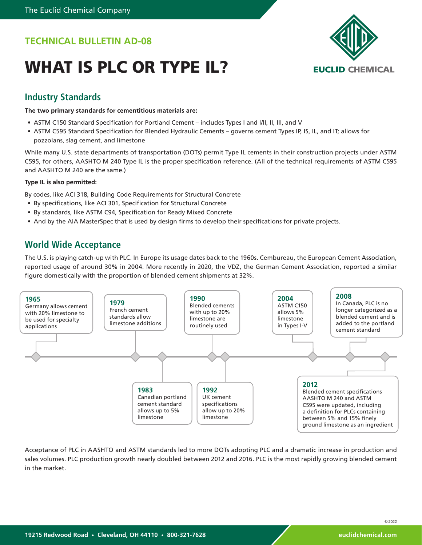# **TECHNICAL BULLETIN AD-08**

# WHAT IS PLC OR TYPE IL?



### **Industry Standards**

**The two primary standards for cementitious materials are:**

- ASTM C150 Standard Specification for Portland Cement includes Types I and I/II, II, III, and V
- ASTM C595 Standard Specification for Blended Hydraulic Cements governs cement Types IP, IS, IL, and IT; allows for pozzolans, slag cement, and limestone

While many U.S. state departments of transportation (DOTs) permit Type IL cements in their construction projects under ASTM C595, for others, AASHTO M 240 Type IL is the proper specification reference. (All of the technical requirements of ASTM C595 and AASHTO M 240 are the same.)

#### **Type IL is also permitted:**

By codes, like ACI 318, Building Code Requirements for Structural Concrete

- By specifications, like ACI 301, Specification for Structural Concrete
- By standards, like ASTM C94, Specification for Ready Mixed Concrete
- And by the AIA MasterSpec that is used by design firms to develop their specifications for private projects.

#### **World Wide Acceptance**

The U.S. is playing catch-up with PLC. In Europe its usage dates back to the 1960s. Cembureau, the European Cement Association, reported usage of around 30% in 2004. More recently in 2020, the VDZ, the German Cement Association, reported a similar figure domestically with the proportion of blended cement shipments at 32%.



Acceptance of PLC in AASHTO and ASTM standards led to more DOTs adopting PLC and a dramatic increase in production and sales volumes. PLC production growth nearly doubled between 2012 and 2016. PLC is the most rapidly growing blended cement in the market.